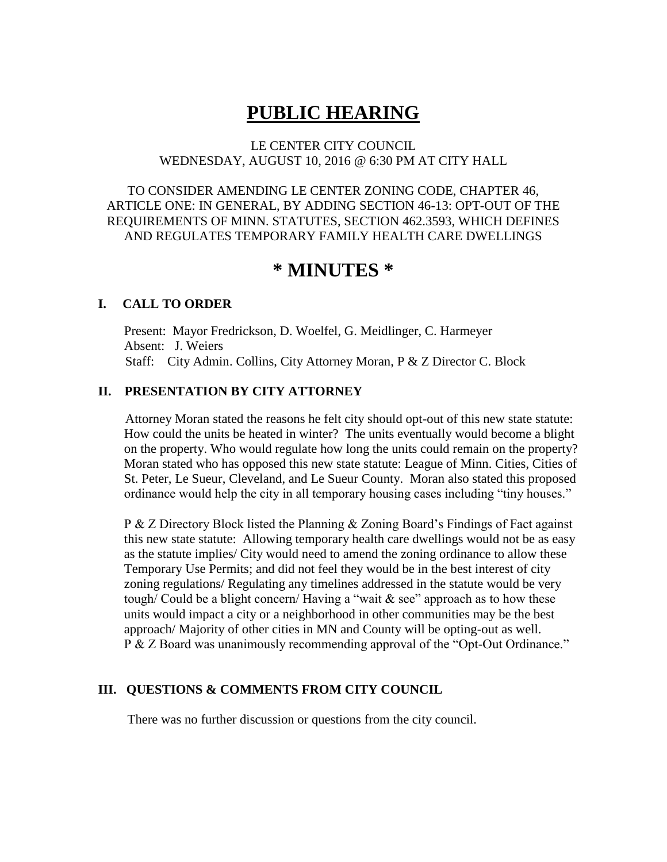# **PUBLIC HEARING**

#### LE CENTER CITY COUNCIL WEDNESDAY, AUGUST 10, 2016 @ 6:30 PM AT CITY HALL

TO CONSIDER AMENDING LE CENTER ZONING CODE, CHAPTER 46, ARTICLE ONE: IN GENERAL, BY ADDING SECTION 46-13: OPT-OUT OF THE REQUIREMENTS OF MINN. STATUTES, SECTION 462.3593, WHICH DEFINES AND REGULATES TEMPORARY FAMILY HEALTH CARE DWELLINGS

## **\* MINUTES \***

#### **I. CALL TO ORDER**

Present: Mayor Fredrickson, D. Woelfel, G. Meidlinger, C. Harmeyer Absent: J. Weiers Staff: City Admin. Collins, City Attorney Moran, P & Z Director C. Block

#### **II. PRESENTATION BY CITY ATTORNEY**

Attorney Moran stated the reasons he felt city should opt-out of this new state statute: How could the units be heated in winter? The units eventually would become a blight on the property. Who would regulate how long the units could remain on the property? Moran stated who has opposed this new state statute: League of Minn. Cities, Cities of St. Peter, Le Sueur, Cleveland, and Le Sueur County. Moran also stated this proposed ordinance would help the city in all temporary housing cases including "tiny houses."

 P & Z Directory Block listed the Planning & Zoning Board's Findings of Fact against this new state statute: Allowing temporary health care dwellings would not be as easy as the statute implies/ City would need to amend the zoning ordinance to allow these Temporary Use Permits; and did not feel they would be in the best interest of city zoning regulations/ Regulating any timelines addressed in the statute would be very tough/ Could be a blight concern/ Having a "wait  $\&$  see" approach as to how these units would impact a city or a neighborhood in other communities may be the best approach/ Majority of other cities in MN and County will be opting-out as well. P & Z Board was unanimously recommending approval of the "Opt-Out Ordinance."

#### **III. QUESTIONS & COMMENTS FROM CITY COUNCIL**

There was no further discussion or questions from the city council.